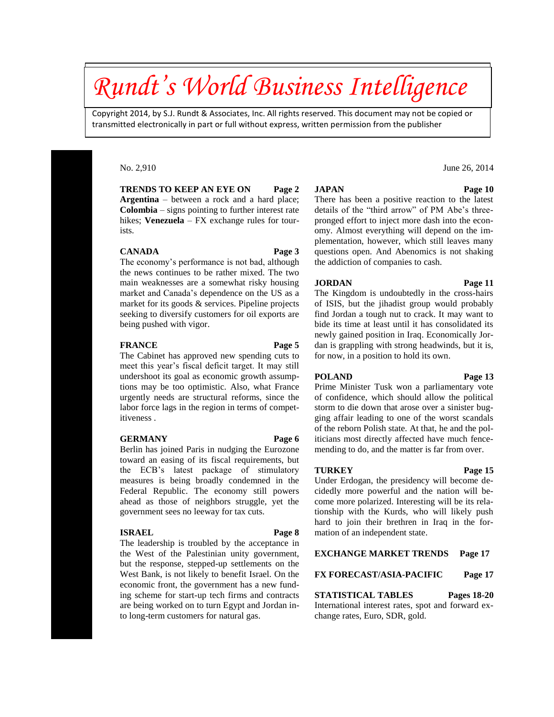# *Rundt's World Business Intelligence*

Copyright 2014, by S.J. Rundt & Associates, Inc. All rights reserved. This document may not be copied or transmitted electronically in part or full without express, written permission from the publisher

### No. 2,910

**TRENDS TO KEEP AN EYE ON Page 2 Argentina** – between a rock and a hard place; **Colombia** – signs pointing to further interest rate hikes; **Venezuela** – FX exchange rules for tourists.

#### **CANADA Page 3**

The economy's performance is not bad, although the news continues to be rather mixed. The two main weaknesses are a somewhat risky housing market and Canada's dependence on the US as a market for its goods & services. Pipeline projects seeking to diversify customers for oil exports are being pushed with vigor.

#### **FRANCE Page 5**

The Cabinet has approved new spending cuts to meet this year's fiscal deficit target. It may still undershoot its goal as economic growth assumptions may be too optimistic. Also, what France urgently needs are structural reforms, since the labor force lags in the region in terms of competitiveness .

### **GERMANY Page 6**

Berlin has joined Paris in nudging the Eurozone toward an easing of its fiscal requirements, but the ECB's latest package of stimulatory measures is being broadly condemned in the Federal Republic. The economy still powers ahead as those of neighbors struggle, yet the government sees no leeway for tax cuts.

#### **ISRAEL Page 8**

The leadership is troubled by the acceptance in the West of the Palestinian unity government, but the response, stepped-up settlements on the West Bank, is not likely to benefit Israel. On the economic front, the government has a new funding scheme for start-up tech firms and contracts are being worked on to turn Egypt and Jordan into long-term customers for natural gas.

#### **JAPAN Page 10**

There has been a positive reaction to the latest details of the "third arrow" of PM Abe's threepronged effort to inject more dash into the economy. Almost everything will depend on the implementation, however, which still leaves many questions open. And Abenomics is not shaking the addiction of companies to cash.

### **JORDAN Page 11**

The Kingdom is undoubtedly in the cross-hairs of ISIS, but the jihadist group would probably find Jordan a tough nut to crack. It may want to bide its time at least until it has consolidated its newly gained position in Iraq. Economically Jordan is grappling with strong headwinds, but it is, for now, in a position to hold its own.

### **POLAND Page 13**

Prime Minister Tusk won a parliamentary vote of confidence, which should allow the political storm to die down that arose over a sinister bugging affair leading to one of the worst scandals of the reborn Polish state. At that, he and the politicians most directly affected have much fencemending to do, and the matter is far from over.

#### **TURKEY Page 15**

Under Erdogan, the presidency will become decidedly more powerful and the nation will become more polarized. Interesting will be its relationship with the Kurds, who will likely push hard to join their brethren in Iraq in the formation of an independent state.

### **EXCHANGE MARKET TRENDS Page 17**

### **FX FORECAST/ASIA-PACIFIC Page 17**

**STATISTICAL TABLES Pages 18-20** International interest rates, spot and forward exchange rates, Euro, SDR, gold.

### June 26, 2014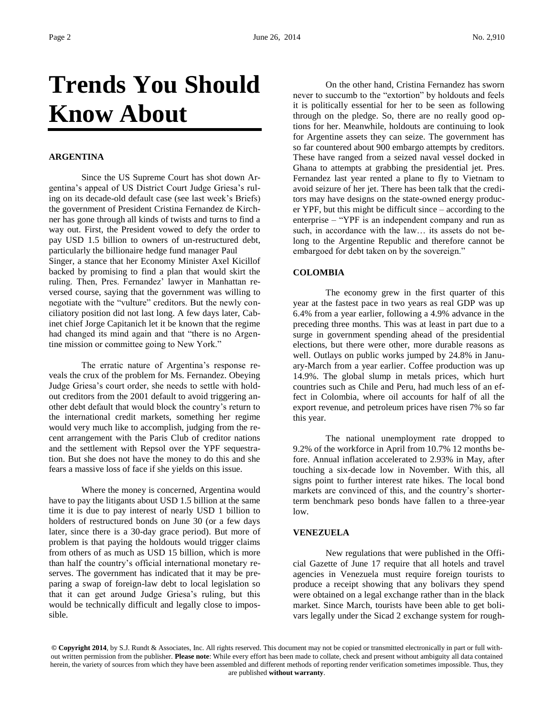# **Trends You Should Know About**

### **ARGENTINA**

Since the US Supreme Court has shot down Argentina's appeal of US District Court Judge Griesa's ruling on its decade-old default case (see last week's Briefs) the government of President Cristina Fernandez de Kirchner has gone through all kinds of twists and turns to find a way out. First, the President vowed to defy the order to pay USD 1.5 billion to owners of un-restructured debt, particularly the billionaire hedge fund manager Paul Singer, a stance that her Economy Minister Axel Kicillof backed by promising to find a plan that would skirt the ruling. Then, Pres. Fernandez' lawyer in Manhattan reversed course, saying that the government was willing to negotiate with the "vulture" creditors. But the newly conciliatory position did not last long. A few days later, Cabinet chief Jorge Capitanich let it be known that the regime had changed its mind again and that "there is no Argentine mission or committee going to New York."

The erratic nature of Argentina's response reveals the crux of the problem for Ms. Fernandez. Obeying Judge Griesa's court order, she needs to settle with holdout creditors from the 2001 default to avoid triggering another debt default that would block the country's return to the international credit markets, something her regime would very much like to accomplish, judging from the recent arrangement with the Paris Club of creditor nations and the settlement with Repsol over the YPF sequestration. But she does not have the money to do this and she fears a massive loss of face if she yields on this issue.

Where the money is concerned, Argentina would have to pay the litigants about USD 1.5 billion at the same time it is due to pay interest of nearly USD 1 billion to holders of restructured bonds on June 30 (or a few days later, since there is a 30-day grace period). But more of problem is that paying the holdouts would trigger claims from others of as much as USD 15 billion, which is more than half the country's official international monetary reserves. The government has indicated that it may be preparing a swap of foreign-law debt to local legislation so that it can get around Judge Griesa's ruling, but this would be technically difficult and legally close to impossible.

On the other hand, Cristina Fernandez has sworn never to succumb to the "extortion" by holdouts and feels it is politically essential for her to be seen as following through on the pledge. So, there are no really good options for her. Meanwhile, holdouts are continuing to look for Argentine assets they can seize. The government has so far countered about 900 embargo attempts by creditors. These have ranged from a seized naval vessel docked in Ghana to attempts at grabbing the presidential jet. Pres. Fernandez last year rented a plane to fly to Vietnam to avoid seizure of her jet. There has been talk that the creditors may have designs on the state-owned energy producer YPF, but this might be difficult since – according to the enterprise – "YPF is an independent company and run as such, in accordance with the law… its assets do not belong to the Argentine Republic and therefore cannot be embargoed for debt taken on by the sovereign."

### **COLOMBIA**

The economy grew in the first quarter of this year at the fastest pace in two years as real GDP was up 6.4% from a year earlier, following a 4.9% advance in the preceding three months. This was at least in part due to a surge in government spending ahead of the presidential elections, but there were other, more durable reasons as well. Outlays on public works jumped by 24.8% in January-March from a year earlier. Coffee production was up 14.9%. The global slump in metals prices, which hurt countries such as Chile and Peru, had much less of an effect in Colombia, where oil accounts for half of all the export revenue, and petroleum prices have risen 7% so far this year.

The national unemployment rate dropped to 9.2% of the workforce in April from 10.7% 12 months before. Annual inflation accelerated to 2.93% in May, after touching a six-decade low in November. With this, all signs point to further interest rate hikes. The local bond markets are convinced of this, and the country's shorterterm benchmark peso bonds have fallen to a three-year low.

### **VENEZUELA**

New regulations that were published in the Official Gazette of June 17 require that all hotels and travel agencies in Venezuela must require foreign tourists to produce a receipt showing that any bolivars they spend were obtained on a legal exchange rather than in the black market. Since March, tourists have been able to get bolivars legally under the Sicad 2 exchange system for rough-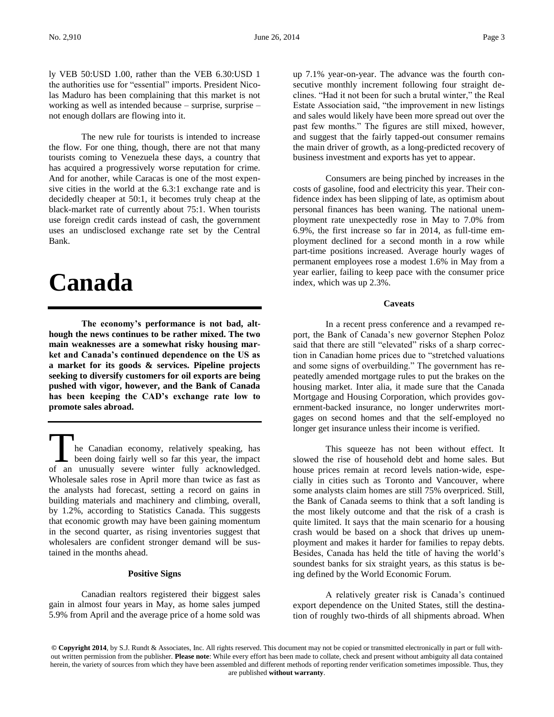ly VEB 50:USD 1.00, rather than the VEB 6.30:USD 1 the authorities use for "essential" imports. President Nicolas Maduro has been complaining that this market is not working as well as intended because – surprise, surprise – not enough dollars are flowing into it.

The new rule for tourists is intended to increase the flow. For one thing, though, there are not that many tourists coming to Venezuela these days, a country that has acquired a progressively worse reputation for crime. And for another, while Caracas is one of the most expensive cities in the world at the 6.3:1 exchange rate and is decidedly cheaper at 50:1, it becomes truly cheap at the black-market rate of currently about 75:1. When tourists use foreign credit cards instead of cash, the government uses an undisclosed exchange rate set by the Central Bank.

### **Canada**

**The economy's performance is not bad, although the news continues to be rather mixed. The two main weaknesses are a somewhat risky housing market and Canada's continued dependence on the US as a market for its goods & services. Pipeline projects seeking to diversify customers for oil exports are being pushed with vigor, however, and the Bank of Canada has been keeping the CAD's exchange rate low to promote sales abroad.**

he Canadian economy, relatively speaking, has been doing fairly well so far this year, the impact The Canadian economy, relatively speaking, has<br>been doing fairly well so far this year, the impact<br>of an unusually severe winter fully acknowledged. Wholesale sales rose in April more than twice as fast as the analysts had forecast, setting a record on gains in building materials and machinery and climbing, overall, by 1.2%, according to Statistics Canada. This suggests that economic growth may have been gaining momentum in the second quarter, as rising inventories suggest that wholesalers are confident stronger demand will be sustained in the months ahead.

### **Positive Signs**

Canadian realtors registered their biggest sales gain in almost four years in May, as home sales jumped 5.9% from April and the average price of a home sold was up 7.1% year-on-year. The advance was the fourth consecutive monthly increment following four straight declines. "Had it not been for such a brutal winter," the Real Estate Association said, "the improvement in new listings and sales would likely have been more spread out over the past few months." The figures are still mixed, however, and suggest that the fairly tapped-out consumer remains the main driver of growth, as a long-predicted recovery of business investment and exports has yet to appear.

Consumers are being pinched by increases in the costs of gasoline, food and electricity this year. Their confidence index has been slipping of late, as optimism about personal finances has been waning. The national unemployment rate unexpectedly rose in May to 7.0% from 6.9%, the first increase so far in 2014, as full-time employment declined for a second month in a row while part-time positions increased. Average hourly wages of permanent employees rose a modest 1.6% in May from a year earlier, failing to keep pace with the consumer price index, which was up 2.3%.

### **Caveats**

In a recent press conference and a revamped report, the Bank of Canada's new governor Stephen Poloz said that there are still "elevated" risks of a sharp correction in Canadian home prices due to "stretched valuations and some signs of overbuilding." The government has repeatedly amended mortgage rules to put the brakes on the housing market. Inter alia, it made sure that the Canada Mortgage and Housing Corporation, which provides government-backed insurance, no longer underwrites mortgages on second homes and that the self-employed no longer get insurance unless their income is verified.

This squeeze has not been without effect. It slowed the rise of household debt and home sales. But house prices remain at record levels nation-wide, especially in cities such as Toronto and Vancouver, where some analysts claim homes are still 75% overpriced. Still, the Bank of Canada seems to think that a soft landing is the most likely outcome and that the risk of a crash is quite limited. It says that the main scenario for a housing crash would be based on a shock that drives up unemployment and makes it harder for families to repay debts. Besides, Canada has held the title of having the world's soundest banks for six straight years, as this status is being defined by the World Economic Forum.

A relatively greater risk is Canada's continued export dependence on the United States, still the destination of roughly two-thirds of all shipments abroad. When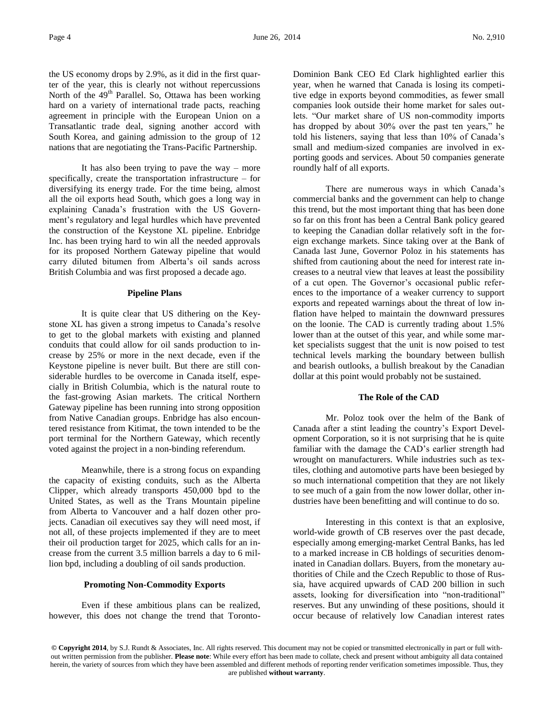the US economy drops by 2.9%, as it did in the first quarter of the year, this is clearly not without repercussions North of the 49<sup>th</sup> Parallel. So, Ottawa has been working hard on a variety of international trade pacts, reaching agreement in principle with the European Union on a Transatlantic trade deal, signing another accord with South Korea, and gaining admission to the group of 12 nations that are negotiating the Trans-Pacific Partnership.

It has also been trying to pave the way – more specifically, create the transportation infrastructure – for diversifying its energy trade. For the time being, almost all the oil exports head South, which goes a long way in explaining Canada's frustration with the US Government's regulatory and legal hurdles which have prevented the construction of the Keystone XL pipeline. Enbridge Inc. has been trying hard to win all the needed approvals for its proposed Northern Gateway pipeline that would carry diluted bitumen from Alberta's oil sands across British Columbia and was first proposed a decade ago.

### **Pipeline Plans**

It is quite clear that US dithering on the Keystone XL has given a strong impetus to Canada's resolve to get to the global markets with existing and planned conduits that could allow for oil sands production to increase by 25% or more in the next decade, even if the Keystone pipeline is never built. But there are still considerable hurdles to be overcome in Canada itself, especially in British Columbia, which is the natural route to the fast-growing Asian markets. The critical Northern Gateway pipeline has been running into strong opposition from Native Canadian groups. Enbridge has also encountered resistance from Kitimat, the town intended to be the port terminal for the Northern Gateway, which recently voted against the project in a non-binding referendum.

Meanwhile, there is a strong focus on expanding the capacity of existing conduits, such as the Alberta Clipper, which already transports 450,000 bpd to the United States, as well as the Trans Mountain pipeline from Alberta to Vancouver and a half dozen other projects. Canadian oil executives say they will need most, if not all, of these projects implemented if they are to meet their oil production target for 2025, which calls for an increase from the current 3.5 million barrels a day to 6 million bpd, including a doubling of oil sands production.

### **Promoting Non-Commodity Exports**

Even if these ambitious plans can be realized, however, this does not change the trend that TorontoDominion Bank CEO Ed Clark highlighted earlier this year, when he warned that Canada is losing its competitive edge in exports beyond commodities, as fewer small companies look outside their home market for sales outlets. "Our market share of US non-commodity imports has dropped by about 30% over the past ten years," he told his listeners, saying that less than 10% of Canada's small and medium-sized companies are involved in exporting goods and services. About 50 companies generate roundly half of all exports.

There are numerous ways in which Canada's commercial banks and the government can help to change this trend, but the most important thing that has been done so far on this front has been a Central Bank policy geared to keeping the Canadian dollar relatively soft in the foreign exchange markets. Since taking over at the Bank of Canada last June, Governor Poloz in his statements has shifted from cautioning about the need for interest rate increases to a neutral view that leaves at least the possibility of a cut open. The Governor's occasional public references to the importance of a weaker currency to support exports and repeated warnings about the threat of low inflation have helped to maintain the downward pressures on the loonie. The CAD is currently trading about 1.5% lower than at the outset of this year, and while some market specialists suggest that the unit is now poised to test technical levels marking the boundary between bullish and bearish outlooks, a bullish breakout by the Canadian dollar at this point would probably not be sustained.

### **The Role of the CAD**

Mr. Poloz took over the helm of the Bank of Canada after a stint leading the country's Export Development Corporation, so it is not surprising that he is quite familiar with the damage the CAD's earlier strength had wrought on manufacturers. While industries such as textiles, clothing and automotive parts have been besieged by so much international competition that they are not likely to see much of a gain from the now lower dollar, other industries have been benefitting and will continue to do so.

Interesting in this context is that an explosive, world-wide growth of CB reserves over the past decade, especially among emerging-market Central Banks, has led to a marked increase in CB holdings of securities denominated in Canadian dollars. Buyers, from the monetary authorities of Chile and the Czech Republic to those of Russia, have acquired upwards of CAD 200 billion in such assets, looking for diversification into "non-traditional" reserves. But any unwinding of these positions, should it occur because of relatively low Canadian interest rates

**<sup>©</sup> Copyright 2014**, by S.J. Rundt & Associates, Inc. All rights reserved. This document may not be copied or transmitted electronically in part or full without written permission from the publisher. **Please note**: While every effort has been made to collate, check and present without ambiguity all data contained herein, the variety of sources from which they have been assembled and different methods of reporting render verification sometimes impossible. Thus, they are published **without warranty**.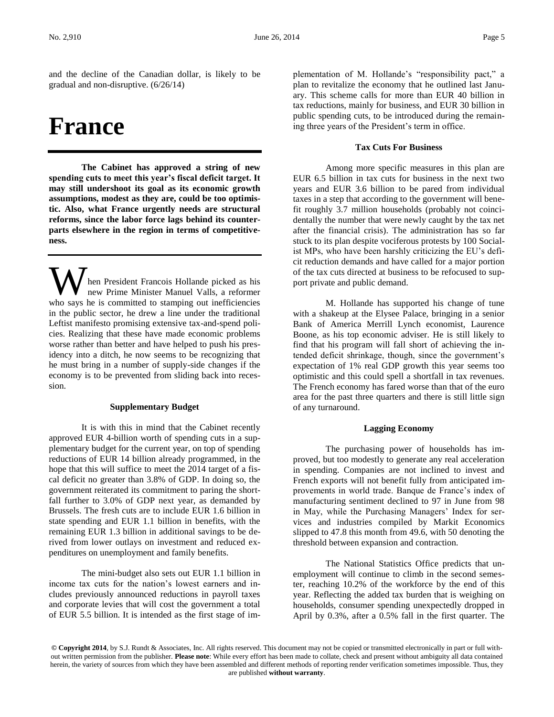and the decline of the Canadian dollar, is likely to be gradual and non-disruptive. (6/26/14)

## **France**

**The Cabinet has approved a string of new spending cuts to meet this year's fiscal deficit target. It may still undershoot its goal as its economic growth assumptions, modest as they are, could be too optimistic. Also, what France urgently needs are structural reforms, since the labor force lags behind its counterparts elsewhere in the region in terms of competitiveness.** 

hen President Francois Hollande picked as his new Prime Minister Manuel Valls, a reformer **W** hen President Francois Hollande picked as his new Prime Minister Manuel Valls, a reformer who says he is committed to stamping out inefficiencies in the public sector, he drew a line under the traditional Leftist manifesto promising extensive tax-and-spend policies. Realizing that these have made economic problems worse rather than better and have helped to push his presidency into a ditch, he now seems to be recognizing that he must bring in a number of supply-side changes if the economy is to be prevented from sliding back into recession.

### **Supplementary Budget**

It is with this in mind that the Cabinet recently approved EUR 4-billion worth of spending cuts in a supplementary budget for the current year, on top of spending reductions of EUR 14 billion already programmed, in the hope that this will suffice to meet the 2014 target of a fiscal deficit no greater than 3.8% of GDP. In doing so, the government reiterated its commitment to paring the shortfall further to 3.0% of GDP next year, as demanded by Brussels. The fresh cuts are to include EUR 1.6 billion in state spending and EUR 1.1 billion in benefits, with the remaining EUR 1.3 billion in additional savings to be derived from lower outlays on investment and reduced expenditures on unemployment and family benefits.

The mini-budget also sets out EUR 1.1 billion in income tax cuts for the nation's lowest earners and includes previously announced reductions in payroll taxes and corporate levies that will cost the government a total of EUR 5.5 billion. It is intended as the first stage of im-

plementation of M. Hollande's "responsibility pact," a plan to revitalize the economy that he outlined last January. This scheme calls for more than EUR 40 billion in tax reductions, mainly for business, and EUR 30 billion in public spending cuts, to be introduced during the remaining three years of the President's term in office.

### **Tax Cuts For Business**

Among more specific measures in this plan are EUR 6.5 billion in tax cuts for business in the next two years and EUR 3.6 billion to be pared from individual taxes in a step that according to the government will benefit roughly 3.7 million households (probably not coincidentally the number that were newly caught by the tax net after the financial crisis). The administration has so far stuck to its plan despite vociferous protests by 100 Socialist MPs, who have been harshly criticizing the EU's deficit reduction demands and have called for a major portion of the tax cuts directed at business to be refocused to support private and public demand.

M. Hollande has supported his change of tune with a shakeup at the Elysee Palace, bringing in a senior Bank of America Merrill Lynch economist, Laurence Boone, as his top economic adviser. He is still likely to find that his program will fall short of achieving the intended deficit shrinkage, though, since the government's expectation of 1% real GDP growth this year seems too optimistic and this could spell a shortfall in tax revenues. The French economy has fared worse than that of the euro area for the past three quarters and there is still little sign of any turnaround.

### **Lagging Economy**

The purchasing power of households has improved, but too modestly to generate any real acceleration in spending. Companies are not inclined to invest and French exports will not benefit fully from anticipated improvements in world trade. Banque de France's index of manufacturing sentiment declined to 97 in June from 98 in May, while the Purchasing Managers' Index for services and industries compiled by Markit Economics slipped to 47.8 this month from 49.6, with 50 denoting the threshold between expansion and contraction.

The National Statistics Office predicts that unemployment will continue to climb in the second semester, reaching 10.2% of the workforce by the end of this year. Reflecting the added tax burden that is weighing on households, consumer spending unexpectedly dropped in April by 0.3%, after a 0.5% fall in the first quarter. The

**<sup>©</sup> Copyright 2014**, by S.J. Rundt & Associates, Inc. All rights reserved. This document may not be copied or transmitted electronically in part or full without written permission from the publisher. **Please note**: While every effort has been made to collate, check and present without ambiguity all data contained herein, the variety of sources from which they have been assembled and different methods of reporting render verification sometimes impossible. Thus, they are published **without warranty**.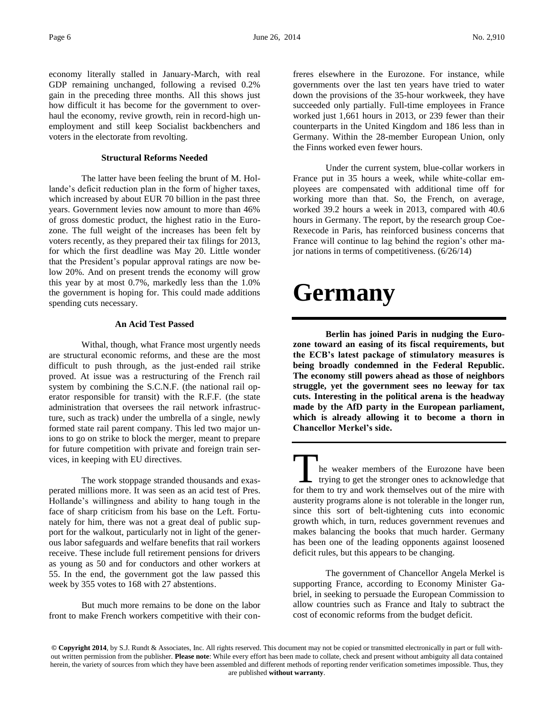economy literally stalled in January-March, with real GDP remaining unchanged, following a revised 0.2% gain in the preceding three months. All this shows just how difficult it has become for the government to overhaul the economy, revive growth, rein in record-high unemployment and still keep Socialist backbenchers and voters in the electorate from revolting.

### **Structural Reforms Needed**

The latter have been feeling the brunt of M. Hollande's deficit reduction plan in the form of higher taxes, which increased by about EUR 70 billion in the past three years. Government levies now amount to more than 46% of gross domestic product, the highest ratio in the Eurozone. The full weight of the increases has been felt by voters recently, as they prepared their tax filings for 2013, for which the first deadline was May 20. Little wonder that the President's popular approval ratings are now below 20%. And on present trends the economy will grow this year by at most 0.7%, markedly less than the 1.0% the government is hoping for. This could made additions spending cuts necessary.

### **An Acid Test Passed**

Withal, though, what France most urgently needs are structural economic reforms, and these are the most difficult to push through, as the just-ended rail strike proved. At issue was a restructuring of the French rail system by combining the S.C.N.F. (the national rail operator responsible for transit) with the R.F.F. (the state administration that oversees the rail network infrastructure, such as track) under the umbrella of a single, newly formed state rail parent company. This led two major unions to go on strike to block the merger, meant to prepare for future competition with private and foreign train services, in keeping with EU directives.

The work stoppage stranded thousands and exasperated millions more. It was seen as an acid test of Pres. Hollande's willingness and ability to hang tough in the face of sharp criticism from his base on the Left. Fortunately for him, there was not a great deal of public support for the walkout, particularly not in light of the generous labor safeguards and welfare benefits that rail workers receive. These include full retirement pensions for drivers as young as 50 and for conductors and other workers at 55. In the end, the government got the law passed this week by 355 votes to 168 with 27 abstentions.

But much more remains to be done on the labor front to make French workers competitive with their confreres elsewhere in the Eurozone. For instance, while governments over the last ten years have tried to water down the provisions of the 35-hour workweek, they have succeeded only partially. Full-time employees in France worked just 1,661 hours in 2013, or 239 fewer than their counterparts in the United Kingdom and 186 less than in Germany. Within the 28-member European Union, only the Finns worked even fewer hours.

Under the current system, blue-collar workers in France put in 35 hours a week, while white-collar employees are compensated with additional time off for working more than that. So, the French, on average, worked 39.2 hours a week in 2013, compared with 40.6 hours in Germany. The report, by the research group Coe-Rexecode in Paris, has reinforced business concerns that France will continue to lag behind the region's other major nations in terms of competitiveness. (6/26/14)

# **Germany**

**Berlin has joined Paris in nudging the Eurozone toward an easing of its fiscal requirements, but the ECB's latest package of stimulatory measures is being broadly condemned in the Federal Republic. The economy still powers ahead as those of neighbors struggle, yet the government sees no leeway for tax cuts. Interesting in the political arena is the headway made by the AfD party in the European parliament, which is already allowing it to become a thorn in Chancellor Merkel's side.**

he weaker members of the Eurozone have been  $\mathsf{L}\;$  trying to get the stronger ones to acknowledge that The weaker members of the Eurozone have been<br>trying to get the stronger ones to acknowledge that<br>for them to try and work themselves out of the mire with austerity programs alone is not tolerable in the longer run, since this sort of belt-tightening cuts into economic growth which, in turn, reduces government revenues and makes balancing the books that much harder. Germany has been one of the leading opponents against loosened deficit rules, but this appears to be changing.

The government of Chancellor Angela Merkel is supporting France, according to Economy Minister Gabriel, in seeking to persuade the European Commission to allow countries such as France and Italy to subtract the cost of economic reforms from the budget deficit.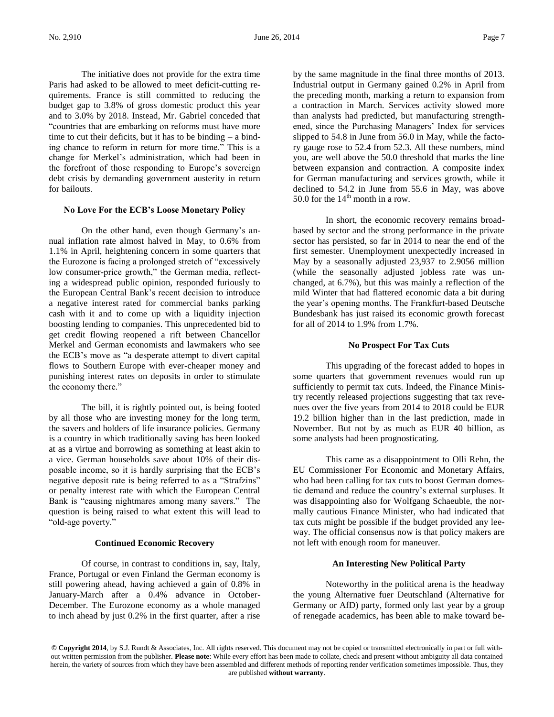The initiative does not provide for the extra time Paris had asked to be allowed to meet deficit-cutting requirements. France is still committed to reducing the budget gap to 3.8% of gross domestic product this year and to 3.0% by 2018. Instead, Mr. Gabriel conceded that "countries that are embarking on reforms must have more time to cut their deficits, but it has to be binding  $-$  a binding chance to reform in return for more time." This is a change for Merkel's administration, which had been in the forefront of those responding to Europe's sovereign debt crisis by demanding government austerity in return for bailouts.

### **No Love For the ECB's Loose Monetary Policy**

On the other hand, even though Germany's annual inflation rate almost halved in May, to 0.6% from 1.1% in April, heightening concern in some quarters that the Eurozone is facing a prolonged stretch of "excessively low consumer-price growth," the German media, reflecting a widespread public opinion, responded furiously to the European Central Bank's recent decision to introduce a negative interest rated for commercial banks parking cash with it and to come up with a liquidity injection boosting lending to companies. This unprecedented bid to get credit flowing reopened a rift between Chancellor Merkel and German economists and lawmakers who see the ECB's move as "a desperate attempt to divert capital flows to Southern Europe with ever-cheaper money and punishing interest rates on deposits in order to stimulate the economy there."

The bill, it is rightly pointed out, is being footed by all those who are investing money for the long term, the savers and holders of life insurance policies. Germany is a country in which traditionally saving has been looked at as a virtue and borrowing as something at least akin to a vice. German households save about 10% of their disposable income, so it is hardly surprising that the ECB's negative deposit rate is being referred to as a "Strafzins" or penalty interest rate with which the European Central Bank is "causing nightmares among many savers." The question is being raised to what extent this will lead to "old-age poverty."

### **Continued Economic Recovery**

Of course, in contrast to conditions in, say, Italy, France, Portugal or even Finland the German economy is still powering ahead, having achieved a gain of 0.8% in January-March after a 0.4% advance in October-December. The Eurozone economy as a whole managed to inch ahead by just 0.2% in the first quarter, after a rise

by the same magnitude in the final three months of 2013. Industrial output in Germany gained 0.2% in April from the preceding month, marking a return to expansion from a contraction in March. Services activity slowed more than analysts had predicted, but manufacturing strengthened, since the Purchasing Managers' Index for services slipped to 54.8 in June from 56.0 in May, while the factory gauge rose to 52.4 from 52.3. All these numbers, mind you, are well above the 50.0 threshold that marks the line between expansion and contraction. A composite index for German manufacturing and services growth, while it declined to 54.2 in June from 55.6 in May, was above 50.0 for the  $14<sup>th</sup>$  month in a row.

In short, the economic recovery remains broadbased by sector and the strong performance in the private sector has persisted, so far in 2014 to near the end of the first semester. Unemployment unexpectedly increased in May by a seasonally adjusted 23,937 to 2.9056 million (while the seasonally adjusted jobless rate was unchanged, at 6.7%), but this was mainly a reflection of the mild Winter that had flattered economic data a bit during the year's opening months. The Frankfurt-based Deutsche Bundesbank has just raised its economic growth forecast for all of 2014 to 1.9% from 1.7%.

### **No Prospect For Tax Cuts**

This upgrading of the forecast added to hopes in some quarters that government revenues would run up sufficiently to permit tax cuts. Indeed, the Finance Ministry recently released projections suggesting that tax revenues over the five years from 2014 to 2018 could be EUR 19.2 billion higher than in the last prediction, made in November. But not by as much as EUR 40 billion, as some analysts had been prognosticating.

This came as a disappointment to Olli Rehn, the EU Commissioner For Economic and Monetary Affairs, who had been calling for tax cuts to boost German domestic demand and reduce the country's external surpluses. It was disappointing also for Wolfgang Schaeuble, the normally cautious Finance Minister, who had indicated that tax cuts might be possible if the budget provided any leeway. The official consensus now is that policy makers are not left with enough room for maneuver.

### **An Interesting New Political Party**

Noteworthy in the political arena is the headway the young Alternative fuer Deutschland (Alternative for Germany or AfD) party, formed only last year by a group of renegade academics, has been able to make toward be-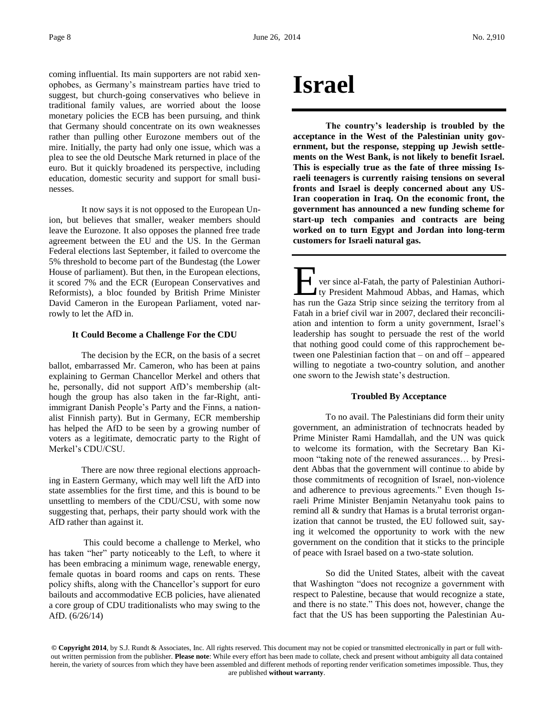coming influential. Its main supporters are not rabid xenophobes, as Germany's mainstream parties have tried to suggest, but church-going conservatives who believe in traditional family values, are worried about the loose monetary policies the ECB has been pursuing, and think that Germany should concentrate on its own weaknesses rather than pulling other Eurozone members out of the mire. Initially, the party had only one issue, which was a plea to see the old Deutsche Mark returned in place of the euro. But it quickly broadened its perspective, including education, domestic security and support for small businesses.

It now says it is not opposed to the European Union, but believes that smaller, weaker members should leave the Eurozone. It also opposes the planned free trade agreement between the EU and the US. In the German Federal elections last September, it failed to overcome the 5% threshold to become part of the Bundestag (the Lower House of parliament). But then, in the European elections, it scored 7% and the ECR (European Conservatives and Reformists), a bloc founded by British Prime Minister David Cameron in the European Parliament, voted narrowly to let the AfD in.

### **It Could Become a Challenge For the CDU**

The decision by the ECR, on the basis of a secret ballot, embarrassed Mr. Cameron, who has been at pains explaining to German Chancellor Merkel and others that he, personally, did not support AfD's membership (although the group has also taken in the far-Right, antiimmigrant Danish People's Party and the Finns, a nationalist Finnish party). But in Germany, ECR membership has helped the AfD to be seen by a growing number of voters as a legitimate, democratic party to the Right of Merkel's CDU/CSU.

There are now three regional elections approaching in Eastern Germany, which may well lift the AfD into state assemblies for the first time, and this is bound to be unsettling to members of the CDU/CSU, with some now suggesting that, perhaps, their party should work with the AfD rather than against it.

This could become a challenge to Merkel, who has taken "her" party noticeably to the Left, to where it has been embracing a minimum wage, renewable energy, female quotas in board rooms and caps on rents. These policy shifts, along with the Chancellor's support for euro bailouts and accommodative ECB policies, have alienated a core group of CDU traditionalists who may swing to the AfD. (6/26/14)

# **Israel**

**The country's leadership is troubled by the acceptance in the West of the Palestinian unity government, but the response, stepping up Jewish settlements on the West Bank, is not likely to benefit Israel. This is especially true as the fate of three missing Israeli teenagers is currently raising tensions on several fronts and Israel is deeply concerned about any US-Iran cooperation in Iraq. On the economic front, the government has announced a new funding scheme for start-up tech companies and contracts are being worked on to turn Egypt and Jordan into long-term customers for Israeli natural gas.**

ver since al-Fatah, the party of Palestinian Authority President Mahmoud Abbas, and Hamas, which **has run the Gaza Strip since seizing the territory from all the Gaza Strip since seizing the territory from all**  $\frac{1}{2}$  **all**  $\frac{1}{2}$  **all**  $\frac{1}{2}$  **all**  $\frac{1}{2}$  **all**  $\frac{1}{2}$  **all**  $\frac{1}{2}$  **all**  $\frac{1}{2}$  **all**  $\frac{1}{2}$  **a** Fatah in a brief civil war in 2007, declared their reconciliation and intention to form a unity government, Israel's leadership has sought to persuade the rest of the world that nothing good could come of this rapprochement between one Palestinian faction that – on and off – appeared willing to negotiate a two-country solution, and another one sworn to the Jewish state's destruction.

### **Troubled By Acceptance**

To no avail. The Palestinians did form their unity government, an administration of technocrats headed by Prime Minister Rami Hamdallah, and the UN was quick to welcome its formation, with the Secretary Ban Kimoon "taking note of the renewed assurances… by President Abbas that the government will continue to abide by those commitments of recognition of Israel, non-violence and adherence to previous agreements." Even though Israeli Prime Minister Benjamin Netanyahu took pains to remind all & sundry that Hamas is a brutal terrorist organization that cannot be trusted, the EU followed suit, saying it welcomed the opportunity to work with the new government on the condition that it sticks to the principle of peace with Israel based on a two-state solution.

So did the United States, albeit with the caveat that Washington "does not recognize a government with respect to Palestine, because that would recognize a state, and there is no state." This does not, however, change the fact that the US has been supporting the Palestinian Au-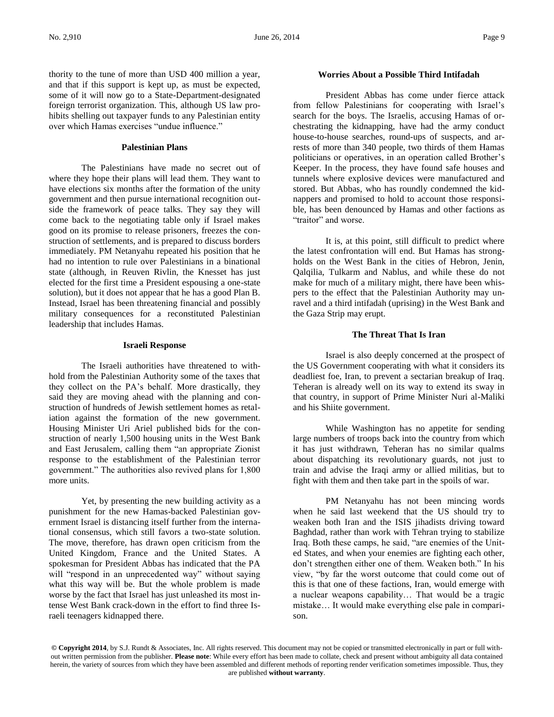thority to the tune of more than USD 400 million a year, and that if this support is kept up, as must be expected, some of it will now go to a State-Department-designated foreign terrorist organization. This, although US law prohibits shelling out taxpayer funds to any Palestinian entity over which Hamas exercises "undue influence."

### **Palestinian Plans**

The Palestinians have made no secret out of where they hope their plans will lead them. They want to have elections six months after the formation of the unity government and then pursue international recognition outside the framework of peace talks. They say they will come back to the negotiating table only if Israel makes good on its promise to release prisoners, freezes the construction of settlements, and is prepared to discuss borders immediately. PM Netanyahu repeated his position that he had no intention to rule over Palestinians in a binational state (although, in Reuven Rivlin, the Knesset has just elected for the first time a President espousing a one-state solution), but it does not appear that he has a good Plan B. Instead, Israel has been threatening financial and possibly military consequences for a reconstituted Palestinian leadership that includes Hamas.

### **Israeli Response**

The Israeli authorities have threatened to withhold from the Palestinian Authority some of the taxes that they collect on the PA's behalf. More drastically, they said they are moving ahead with the planning and construction of hundreds of Jewish settlement homes as retaliation against the formation of the new government. Housing Minister Uri Ariel published bids for the construction of nearly 1,500 housing units in the West Bank and East Jerusalem, calling them "an appropriate Zionist response to the establishment of the Palestinian terror government." The authorities also revived plans for 1,800 more units.

Yet, by presenting the new building activity as a punishment for the new Hamas-backed Palestinian government Israel is distancing itself further from the international consensus, which still favors a two-state solution. The move, therefore, has drawn open criticism from the United Kingdom, France and the United States. A spokesman for President Abbas has indicated that the PA will "respond in an unprecedented way" without saying what this way will be. But the whole problem is made worse by the fact that Israel has just unleashed its most intense West Bank crack-down in the effort to find three Israeli teenagers kidnapped there.

### **Worries About a Possible Third Intifadah**

President Abbas has come under fierce attack from fellow Palestinians for cooperating with Israel's search for the boys. The Israelis, accusing Hamas of orchestrating the kidnapping, have had the army conduct house-to-house searches, round-ups of suspects, and arrests of more than 340 people, two thirds of them Hamas politicians or operatives, in an operation called Brother's Keeper. In the process, they have found safe houses and tunnels where explosive devices were manufactured and stored. But Abbas, who has roundly condemned the kidnappers and promised to hold to account those responsible, has been denounced by Hamas and other factions as "traitor" and worse.

It is, at this point, still difficult to predict where the latest confrontation will end. But Hamas has strongholds on the West Bank in the cities of Hebron, Jenin, Qalqilia, Tulkarm and Nablus, and while these do not make for much of a military might, there have been whispers to the effect that the Palestinian Authority may unravel and a third intifadah (uprising) in the West Bank and the Gaza Strip may erupt.

### **The Threat That Is Iran**

Israel is also deeply concerned at the prospect of the US Government cooperating with what it considers its deadliest foe, Iran, to prevent a sectarian breakup of Iraq. Teheran is already well on its way to extend its sway in that country, in support of Prime Minister Nuri al-Maliki and his Shiite government.

While Washington has no appetite for sending large numbers of troops back into the country from which it has just withdrawn, Teheran has no similar qualms about dispatching its revolutionary guards, not just to train and advise the Iraqi army or allied militias, but to fight with them and then take part in the spoils of war.

PM Netanyahu has not been mincing words when he said last weekend that the US should try to weaken both Iran and the ISIS jihadists driving toward Baghdad, rather than work with Tehran trying to stabilize Iraq. Both these camps, he said, "are enemies of the United States, and when your enemies are fighting each other, don't strengthen either one of them. Weaken both." In his view, "by far the worst outcome that could come out of this is that one of these factions, Iran, would emerge with a nuclear weapons capability… That would be a tragic mistake… It would make everything else pale in comparison.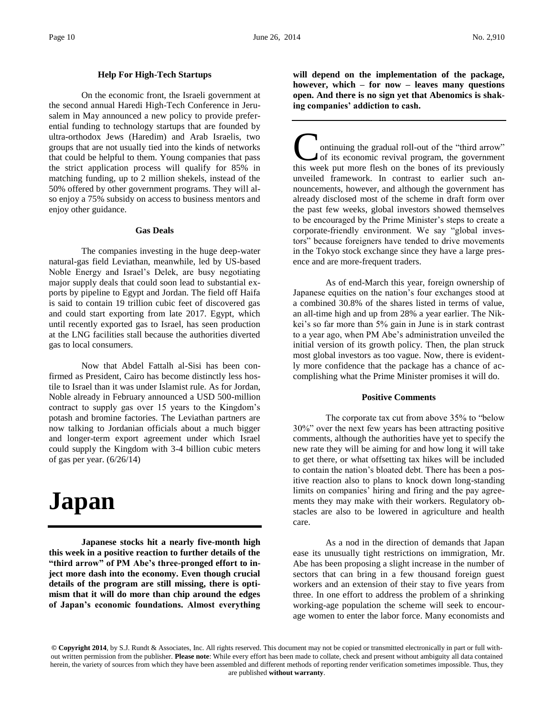### **Help For High-Tech Startups**

On the economic front, the Israeli government at the second annual Haredi High-Tech Conference in Jerusalem in May announced a new policy to provide preferential funding to technology startups that are founded by ultra-orthodox Jews (Haredim) and Arab Israelis, two groups that are not usually tied into the kinds of networks that could be helpful to them. Young companies that pass the strict application process will qualify for 85% in matching funding, up to 2 million shekels, instead of the 50% offered by other government programs. They will also enjoy a 75% subsidy on access to business mentors and enjoy other guidance.

### **Gas Deals**

The companies investing in the huge deep-water natural-gas field Leviathan, meanwhile, led by US-based Noble Energy and Israel's Delek, are busy negotiating major supply deals that could soon lead to substantial exports by pipeline to Egypt and Jordan. The field off Haifa is said to contain 19 trillion cubic feet of discovered gas and could start exporting from late 2017. Egypt, which until recently exported gas to Israel, has seen production at the LNG facilities stall because the authorities diverted gas to local consumers.

Now that Abdel Fattalh al-Sisi has been confirmed as President, Cairo has become distinctly less hostile to Israel than it was under Islamist rule. As for Jordan, Noble already in February announced a USD 500-million contract to supply gas over 15 years to the Kingdom's potash and bromine factories. The Leviathan partners are now talking to Jordanian officials about a much bigger and longer-term export agreement under which Israel could supply the Kingdom with 3-4 billion cubic meters of gas per year. (6/26/14)

# **Japan**

**Japanese stocks hit a nearly five-month high this week in a positive reaction to further details of the "third arrow" of PM Abe's three-pronged effort to inject more dash into the economy. Even though crucial details of the program are still missing, there is optimism that it will do more than chip around the edges of Japan's economic foundations. Almost everything** 

**will depend on the implementation of the package, however, which – for now – leaves many questions open. And there is no sign yet that Abenomics is shaking companies' addiction to cash.**

ontinuing the gradual roll-out of the "third arrow" of its economic revival program, the government **C** ontinuing the gradual roll-out of the "third arrow" of its economic revival program, the government this week put more flesh on the bones of its previously unveiled framework. In contrast to earlier such announcements, however, and although the government has already disclosed most of the scheme in draft form over the past few weeks, global investors showed themselves to be encouraged by the Prime Minister's steps to create a corporate-friendly environment. We say "global investors" because foreigners have tended to drive movements in the Tokyo stock exchange since they have a large presence and are more-frequent traders.

As of end-March this year, foreign ownership of Japanese equities on the nation's four exchanges stood at a combined 30.8% of the shares listed in terms of value, an all-time high and up from 28% a year earlier. The Nikkei's so far more than 5% gain in June is in stark contrast to a year ago, when PM Abe's administration unveiled the initial version of its growth policy. Then, the plan struck most global investors as too vague. Now, there is evidently more confidence that the package has a chance of accomplishing what the Prime Minister promises it will do.

### **Positive Comments**

The corporate tax cut from above 35% to "below 30%" over the next few years has been attracting positive comments, although the authorities have yet to specify the new rate they will be aiming for and how long it will take to get there, or what offsetting tax hikes will be included to contain the nation's bloated debt. There has been a positive reaction also to plans to knock down long-standing limits on companies' hiring and firing and the pay agreements they may make with their workers. Regulatory obstacles are also to be lowered in agriculture and health care.

As a nod in the direction of demands that Japan ease its unusually tight restrictions on immigration, Mr. Abe has been proposing a slight increase in the number of sectors that can bring in a few thousand foreign guest workers and an extension of their stay to five years from three. In one effort to address the problem of a shrinking working-age population the scheme will seek to encourage women to enter the labor force. Many economists and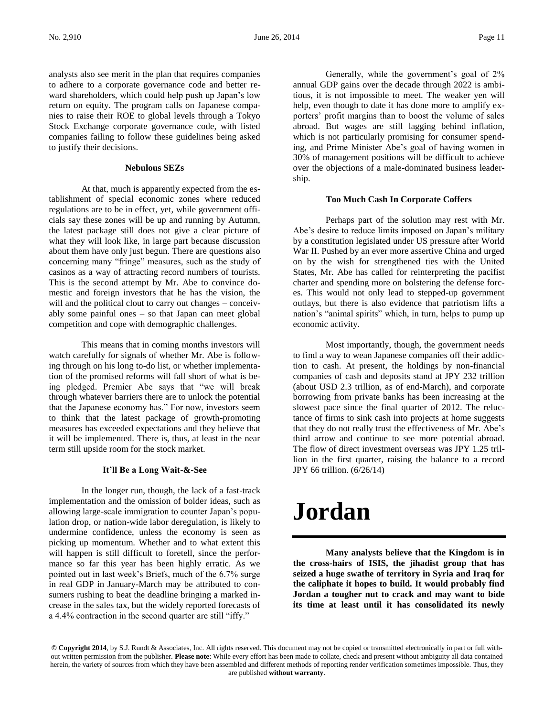analysts also see merit in the plan that requires companies to adhere to a corporate governance code and better reward shareholders, which could help push up Japan's low return on equity. The program calls on Japanese companies to raise their ROE to global levels through a Tokyo Stock Exchange corporate governance code, with listed companies failing to follow these guidelines being asked to justify their decisions.

### **Nebulous SEZs**

At that, much is apparently expected from the establishment of special economic zones where reduced regulations are to be in effect, yet, while government officials say these zones will be up and running by Autumn, the latest package still does not give a clear picture of what they will look like, in large part because discussion about them have only just begun. There are questions also concerning many "fringe" measures, such as the study of casinos as a way of attracting record numbers of tourists. This is the second attempt by Mr. Abe to convince domestic and foreign investors that he has the vision, the will and the political clout to carry out changes – conceivably some painful ones – so that Japan can meet global competition and cope with demographic challenges.

This means that in coming months investors will watch carefully for signals of whether Mr. Abe is following through on his long to-do list, or whether implementation of the promised reforms will fall short of what is being pledged. Premier Abe says that "we will break through whatever barriers there are to unlock the potential that the Japanese economy has." For now, investors seem to think that the latest package of growth-promoting measures has exceeded expectations and they believe that it will be implemented. There is, thus, at least in the near term still upside room for the stock market.

### **It'll Be a Long Wait-&-See**

In the longer run, though, the lack of a fast-track implementation and the omission of bolder ideas, such as allowing large-scale immigration to counter Japan's population drop, or nation-wide labor deregulation, is likely to undermine confidence, unless the economy is seen as picking up momentum. Whether and to what extent this will happen is still difficult to foretell, since the performance so far this year has been highly erratic. As we pointed out in last week's Briefs, much of the 6.7% surge in real GDP in January-March may be attributed to consumers rushing to beat the deadline bringing a marked increase in the sales tax, but the widely reported forecasts of a 4.4% contraction in the second quarter are still "iffy."

Generally, while the government's goal of 2% annual GDP gains over the decade through 2022 is ambitious, it is not impossible to meet. The weaker yen will help, even though to date it has done more to amplify exporters' profit margins than to boost the volume of sales abroad. But wages are still lagging behind inflation, which is not particularly promising for consumer spending, and Prime Minister Abe's goal of having women in 30% of management positions will be difficult to achieve over the objections of a male-dominated business leadership.

### **Too Much Cash In Corporate Coffers**

Perhaps part of the solution may rest with Mr. Abe's desire to reduce limits imposed on Japan's military by a constitution legislated under US pressure after World War II. Pushed by an ever more assertive China and urged on by the wish for strengthened ties with the United States, Mr. Abe has called for reinterpreting the pacifist charter and spending more on bolstering the defense forces. This would not only lead to stepped-up government outlays, but there is also evidence that patriotism lifts a nation's "animal spirits" which, in turn, helps to pump up economic activity.

Most importantly, though, the government needs to find a way to wean Japanese companies off their addiction to cash. At present, the holdings by non-financial companies of cash and deposits stand at JPY 232 trillion (about USD 2.3 trillion, as of end-March), and corporate borrowing from private banks has been increasing at the slowest pace since the final quarter of 2012. The reluctance of firms to sink cash into projects at home suggests that they do not really trust the effectiveness of Mr. Abe's third arrow and continue to see more potential abroad. The flow of direct investment overseas was JPY 1.25 trillion in the first quarter, raising the balance to a record JPY 66 trillion. (6/26/14)

## **Jordan**

**Many analysts believe that the Kingdom is in the cross-hairs of ISIS, the jihadist group that has seized a huge swathe of territory in Syria and Iraq for the caliphate it hopes to build. It would probably find Jordan a tougher nut to crack and may want to bide its time at least until it has consolidated its newly**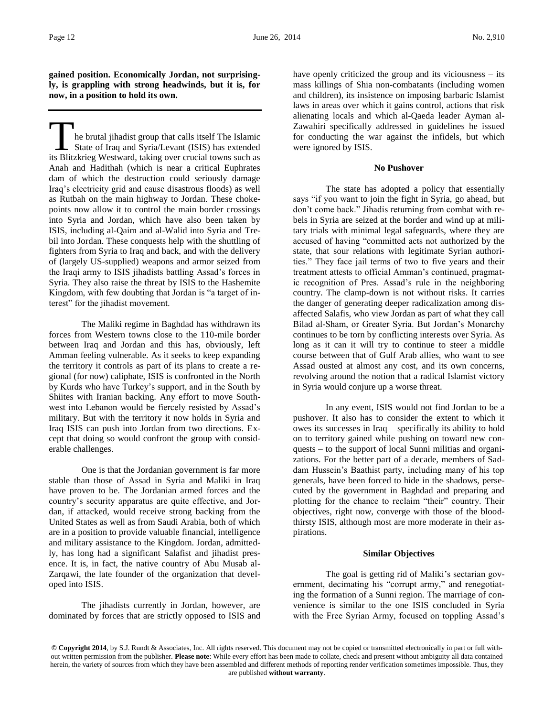**gained position. Economically Jordan, not surprisingly, is grappling with strong headwinds, but it is, for now, in a position to hold its own.**

he brutal jihadist group that calls itself The Islamic State of Iraq and Syria/Levant (ISIS) has extended In the brutal jihadist group that calls itself The Islamic<br>State of Iraq and Syria/Levant (ISIS) has extended<br>its Blitzkrieg Westward, taking over crucial towns such as Anah and Hadithah (which is near a critical Euphrates dam of which the destruction could seriously damage Iraq's electricity grid and cause disastrous floods) as well as Rutbah on the main highway to Jordan. These chokepoints now allow it to control the main border crossings into Syria and Jordan, which have also been taken by ISIS, including al-Qaim and al-Walid into Syria and Trebil into Jordan. These conquests help with the shuttling of fighters from Syria to Iraq and back, and with the delivery of (largely US-supplied) weapons and armor seized from the Iraqi army to ISIS jihadists battling Assad's forces in Syria. They also raise the threat by ISIS to the Hashemite Kingdom, with few doubting that Jordan is "a target of interest" for the jihadist movement.

The Maliki regime in Baghdad has withdrawn its forces from Western towns close to the 110-mile border between Iraq and Jordan and this has, obviously, left Amman feeling vulnerable. As it seeks to keep expanding the territory it controls as part of its plans to create a regional (for now) caliphate, ISIS is confronted in the North by Kurds who have Turkey's support, and in the South by Shiites with Iranian backing. Any effort to move Southwest into Lebanon would be fiercely resisted by Assad's military. But with the territory it now holds in Syria and Iraq ISIS can push into Jordan from two directions. Except that doing so would confront the group with considerable challenges.

One is that the Jordanian government is far more stable than those of Assad in Syria and Maliki in Iraq have proven to be. The Jordanian armed forces and the country's security apparatus are quite effective, and Jordan, if attacked, would receive strong backing from the United States as well as from Saudi Arabia, both of which are in a position to provide valuable financial, intelligence and military assistance to the Kingdom. Jordan, admittedly, has long had a significant Salafist and jihadist presence. It is, in fact, the native country of Abu Musab al-Zarqawi, the late founder of the organization that developed into ISIS.

The jihadists currently in Jordan, however, are dominated by forces that are strictly opposed to ISIS and have openly criticized the group and its viciousness – its mass killings of Shia non-combatants (including women and children), its insistence on imposing barbaric Islamist laws in areas over which it gains control, actions that risk alienating locals and which al-Qaeda leader Ayman al-Zawahiri specifically addressed in guidelines he issued for conducting the war against the infidels, but which were ignored by ISIS.

### **No Pushover**

The state has adopted a policy that essentially says "if you want to join the fight in Syria, go ahead, but don't come back." Jihadis returning from combat with rebels in Syria are seized at the border and wind up at military trials with minimal legal safeguards, where they are accused of having "committed acts not authorized by the state, that sour relations with legitimate Syrian authorities." They face jail terms of two to five years and their treatment attests to official Amman's continued, pragmatic recognition of Pres. Assad's rule in the neighboring country. The clamp-down is not without risks. It carries the danger of generating deeper radicalization among disaffected Salafis, who view Jordan as part of what they call Bilad al-Sham, or Greater Syria. But Jordan's Monarchy continues to be torn by conflicting interests over Syria. As long as it can it will try to continue to steer a middle course between that of Gulf Arab allies, who want to see Assad ousted at almost any cost, and its own concerns, revolving around the notion that a radical Islamist victory in Syria would conjure up a worse threat.

In any event, ISIS would not find Jordan to be a pushover. It also has to consider the extent to which it owes its successes in Iraq – specifically its ability to hold on to territory gained while pushing on toward new conquests – to the support of local Sunni militias and organizations. For the better part of a decade, members of Saddam Hussein's Baathist party, including many of his top generals, have been forced to hide in the shadows, persecuted by the government in Baghdad and preparing and plotting for the chance to reclaim "their" country. Their objectives, right now, converge with those of the bloodthirsty ISIS, although most are more moderate in their aspirations.

### **Similar Objectives**

The goal is getting rid of Maliki's sectarian government, decimating his "corrupt army," and renegotiating the formation of a Sunni region. The marriage of convenience is similar to the one ISIS concluded in Syria with the Free Syrian Army, focused on toppling Assad's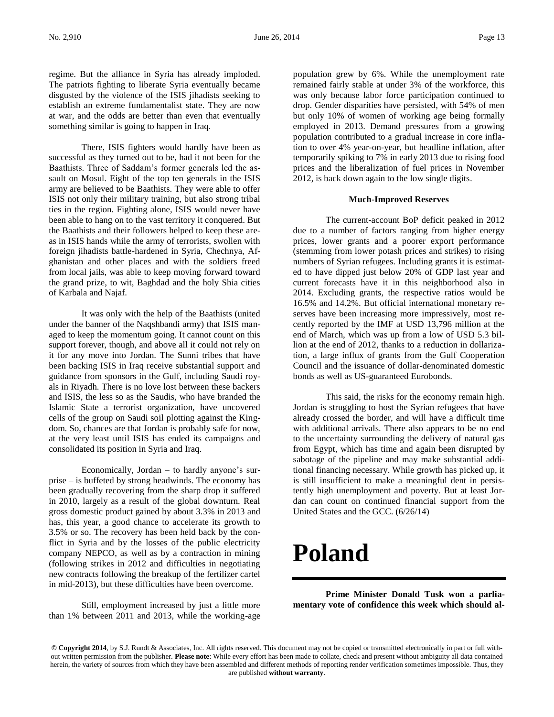regime. But the alliance in Syria has already imploded. The patriots fighting to liberate Syria eventually became disgusted by the violence of the ISIS jihadists seeking to establish an extreme fundamentalist state. They are now at war, and the odds are better than even that eventually something similar is going to happen in Iraq.

There, ISIS fighters would hardly have been as successful as they turned out to be, had it not been for the Baathists. Three of Saddam's former generals led the assault on Mosul. Eight of the top ten generals in the ISIS army are believed to be Baathists. They were able to offer ISIS not only their military training, but also strong tribal ties in the region. Fighting alone, ISIS would never have been able to hang on to the vast territory it conquered. But the Baathists and their followers helped to keep these areas in ISIS hands while the army of terrorists, swollen with foreign jihadists battle-hardened in Syria, Chechnya, Afghanistan and other places and with the soldiers freed from local jails, was able to keep moving forward toward the grand prize, to wit, Baghdad and the holy Shia cities of Karbala and Najaf.

It was only with the help of the Baathists (united under the banner of the Naqshbandi army) that ISIS managed to keep the momentum going. It cannot count on this support forever, though, and above all it could not rely on it for any move into Jordan. The Sunni tribes that have been backing ISIS in Iraq receive substantial support and guidance from sponsors in the Gulf, including Saudi royals in Riyadh. There is no love lost between these backers and ISIS, the less so as the Saudis, who have branded the Islamic State a terrorist organization, have uncovered cells of the group on Saudi soil plotting against the Kingdom. So, chances are that Jordan is probably safe for now, at the very least until ISIS has ended its campaigns and consolidated its position in Syria and Iraq.

Economically, Jordan – to hardly anyone's surprise – is buffeted by strong headwinds. The economy has been gradually recovering from the sharp drop it suffered in 2010, largely as a result of the global downturn. Real gross domestic product gained by about 3.3% in 2013 and has, this year, a good chance to accelerate its growth to 3.5% or so. The recovery has been held back by the conflict in Syria and by the losses of the public electricity company NEPCO, as well as by a contraction in mining (following strikes in 2012 and difficulties in negotiating new contracts following the breakup of the fertilizer cartel in mid-2013), but these difficulties have been overcome.

Still, employment increased by just a little more than 1% between 2011 and 2013, while the working-age population grew by 6%. While the unemployment rate remained fairly stable at under 3% of the workforce, this was only because labor force participation continued to drop. Gender disparities have persisted, with 54% of men but only 10% of women of working age being formally employed in 2013. Demand pressures from a growing population contributed to a gradual increase in core inflation to over 4% year-on-year, but headline inflation, after temporarily spiking to 7% in early 2013 due to rising food prices and the liberalization of fuel prices in November 2012, is back down again to the low single digits.

### **Much-Improved Reserves**

The current-account BoP deficit peaked in 2012 due to a number of factors ranging from higher energy prices, lower grants and a poorer export performance (stemming from lower potash prices and strikes) to rising numbers of Syrian refugees. Including grants it is estimated to have dipped just below 20% of GDP last year and current forecasts have it in this neighborhood also in 2014. Excluding grants, the respective ratios would be 16.5% and 14.2%. But official international monetary reserves have been increasing more impressively, most recently reported by the IMF at USD 13,796 million at the end of March, which was up from a low of USD 5.3 billion at the end of 2012, thanks to a reduction in dollarization, a large influx of grants from the Gulf Cooperation Council and the issuance of dollar-denominated domestic bonds as well as US-guaranteed Eurobonds.

This said, the risks for the economy remain high. Jordan is struggling to host the Syrian refugees that have already crossed the border, and will have a difficult time with additional arrivals. There also appears to be no end to the uncertainty surrounding the delivery of natural gas from Egypt, which has time and again been disrupted by sabotage of the pipeline and may make substantial additional financing necessary. While growth has picked up, it is still insufficient to make a meaningful dent in persistently high unemployment and poverty. But at least Jordan can count on continued financial support from the United States and the GCC. (6/26/14)

### **Poland**

**Prime Minister Donald Tusk won a parliamentary vote of confidence this week which should al-**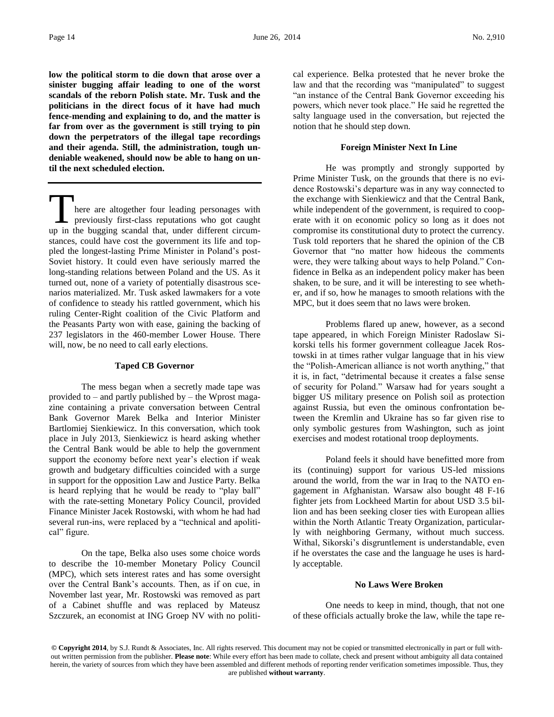**low the political storm to die down that arose over a sinister bugging affair leading to one of the worst scandals of the reborn Polish state. Mr. Tusk and the politicians in the direct focus of it have had much fence-mending and explaining to do, and the matter is far from over as the government is still trying to pin down the perpetrators of the illegal tape recordings and their agenda. Still, the administration, tough undeniable weakened, should now be able to hang on until the next scheduled election.**

here are altogether four leading personages with previously first-class reputations who got caught There are altogether four leading personages with<br>previously first-class reputations who got caught<br>up in the bugging scandal that, under different circumstances, could have cost the government its life and toppled the longest-lasting Prime Minister in Poland's post-Soviet history. It could even have seriously marred the long-standing relations between Poland and the US. As it turned out, none of a variety of potentially disastrous scenarios materialized. Mr. Tusk asked lawmakers for a vote of confidence to steady his rattled government, which his ruling Center-Right coalition of the Civic Platform and the Peasants Party won with ease, gaining the backing of 237 legislators in the 460-member Lower House. There will, now, be no need to call early elections.

#### **Taped CB Governor**

The mess began when a secretly made tape was provided to – and partly published by – the Wprost magazine containing a private conversation between Central Bank Governor Marek Belka and Interior Minister Bartlomiej Sienkiewicz. In this conversation, which took place in July 2013, Sienkiewicz is heard asking whether the Central Bank would be able to help the government support the economy before next year's election if weak growth and budgetary difficulties coincided with a surge in support for the opposition Law and Justice Party. Belka is heard replying that he would be ready to "play ball" with the rate-setting Monetary Policy Council, provided Finance Minister Jacek Rostowski, with whom he had had several run-ins, were replaced by a "technical and apolitical" figure.

On the tape, Belka also uses some choice words to describe the 10-member Monetary Policy Council (MPC), which sets interest rates and has some oversight over the Central Bank's accounts. Then, as if on cue, in November last year, Mr. Rostowski was removed as part of a Cabinet shuffle and was replaced by Mateusz Szczurek, an economist at ING Groep NV with no political experience. Belka protested that he never broke the law and that the recording was "manipulated" to suggest "an instance of the Central Bank Governor exceeding his powers, which never took place." He said he regretted the salty language used in the conversation, but rejected the notion that he should step down.

### **Foreign Minister Next In Line**

He was promptly and strongly supported by Prime Minister Tusk, on the grounds that there is no evidence Rostowski's departure was in any way connected to the exchange with Sienkiewicz and that the Central Bank, while independent of the government, is required to cooperate with it on economic policy so long as it does not compromise its constitutional duty to protect the currency. Tusk told reporters that he shared the opinion of the CB Governor that "no matter how hideous the comments were, they were talking about ways to help Poland." Confidence in Belka as an independent policy maker has been shaken, to be sure, and it will be interesting to see whether, and if so, how he manages to smooth relations with the MPC, but it does seem that no laws were broken.

Problems flared up anew, however, as a second tape appeared, in which Foreign Minister Radoslaw Sikorski tells his former government colleague Jacek Rostowski in at times rather vulgar language that in his view the "Polish-American alliance is not worth anything," that it is, in fact, "detrimental because it creates a false sense of security for Poland." Warsaw had for years sought a bigger US military presence on Polish soil as protection against Russia, but even the ominous confrontation between the Kremlin and Ukraine has so far given rise to only symbolic gestures from Washington, such as joint exercises and modest rotational troop deployments.

Poland feels it should have benefitted more from its (continuing) support for various US-led missions around the world, from the war in Iraq to the NATO engagement in Afghanistan. Warsaw also bought 48 F-16 fighter jets from Lockheed Martin for about USD 3.5 billion and has been seeking closer ties with European allies within the North Atlantic Treaty Organization, particularly with neighboring Germany, without much success. Withal, Sikorski's disgruntlement is understandable, even if he overstates the case and the language he uses is hardly acceptable.

### **No Laws Were Broken**

One needs to keep in mind, though, that not one of these officials actually broke the law, while the tape re-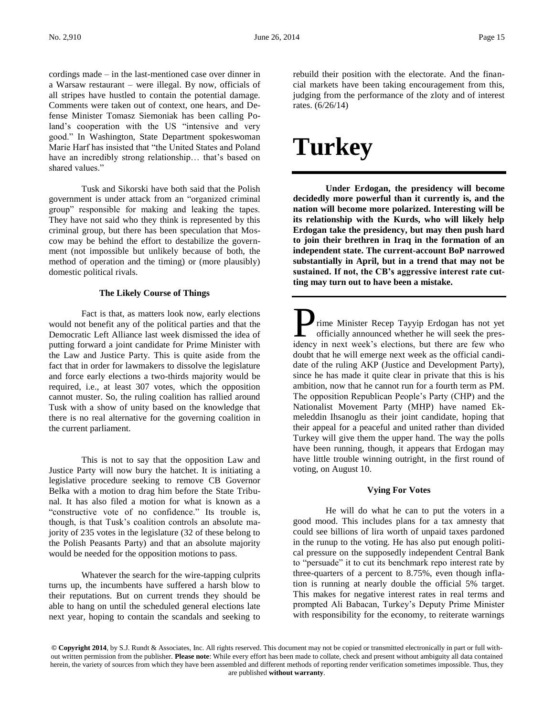cordings made – in the last-mentioned case over dinner in a Warsaw restaurant – were illegal. By now, officials of all stripes have hustled to contain the potential damage. Comments were taken out of context, one hears, and Defense Minister Tomasz Siemoniak has been calling Poland's cooperation with the US "intensive and very good." In Washington, State Department spokeswoman Marie Harf has insisted that "the United States and Poland have an incredibly strong relationship... that's based on shared values."

Tusk and Sikorski have both said that the Polish government is under attack from an "organized criminal group" responsible for making and leaking the tapes. They have not said who they think is represented by this criminal group, but there has been speculation that Moscow may be behind the effort to destabilize the government (not impossible but unlikely because of both, the method of operation and the timing) or (more plausibly) domestic political rivals.

### **The Likely Course of Things**

Fact is that, as matters look now, early elections would not benefit any of the political parties and that the Democratic Left Alliance last week dismissed the idea of putting forward a joint candidate for Prime Minister with the Law and Justice Party. This is quite aside from the fact that in order for lawmakers to dissolve the legislature and force early elections a two-thirds majority would be required, i.e., at least 307 votes, which the opposition cannot muster. So, the ruling coalition has rallied around Tusk with a show of unity based on the knowledge that there is no real alternative for the governing coalition in the current parliament.

This is not to say that the opposition Law and Justice Party will now bury the hatchet. It is initiating a legislative procedure seeking to remove CB Governor Belka with a motion to drag him before the State Tribunal. It has also filed a motion for what is known as a "constructive vote of no confidence." Its trouble is, though, is that Tusk's coalition controls an absolute majority of 235 votes in the legislature (32 of these belong to the Polish Peasants Party) and that an absolute majority would be needed for the opposition motions to pass.

Whatever the search for the wire-tapping culprits turns up, the incumbents have suffered a harsh blow to their reputations. But on current trends they should be able to hang on until the scheduled general elections late next year, hoping to contain the scandals and seeking to

rebuild their position with the electorate. And the financial markets have been taking encouragement from this, judging from the performance of the zloty and of interest rates. (6/26/14)

# **Turkey**

**Under Erdogan, the presidency will become decidedly more powerful than it currently is, and the nation will become more polarized. Interesting will be its relationship with the Kurds, who will likely help Erdogan take the presidency, but may then push hard to join their brethren in Iraq in the formation of an independent state. The current-account BoP narrowed substantially in April, but in a trend that may not be sustained. If not, the CB's aggressive interest rate cutting may turn out to have been a mistake.**

rime Minister Recep Tayyip Erdogan has not yet officially announced whether he will seek the pres**idency** in mext week's elections, but there are few who idency in next week's elections, but there are few who doubt that he will emerge next week as the official candidate of the ruling AKP (Justice and Development Party), since he has made it quite clear in private that this is his ambition, now that he cannot run for a fourth term as PM. The opposition Republican People's Party (CHP) and the Nationalist Movement Party (MHP) have named Ekmeleddin Ihsanoglu as their joint candidate, hoping that their appeal for a peaceful and united rather than divided Turkey will give them the upper hand. The way the polls have been running, though, it appears that Erdogan may have little trouble winning outright, in the first round of voting, on August 10.

### **Vying For Votes**

He will do what he can to put the voters in a good mood. This includes plans for a tax amnesty that could see billions of lira worth of unpaid taxes pardoned in the runup to the voting. He has also put enough political pressure on the supposedly independent Central Bank to "persuade" it to cut its benchmark repo interest rate by three-quarters of a percent to 8.75%, even though inflation is running at nearly double the official 5% target. This makes for negative interest rates in real terms and prompted Ali Babacan, Turkey's Deputy Prime Minister with responsibility for the economy, to reiterate warnings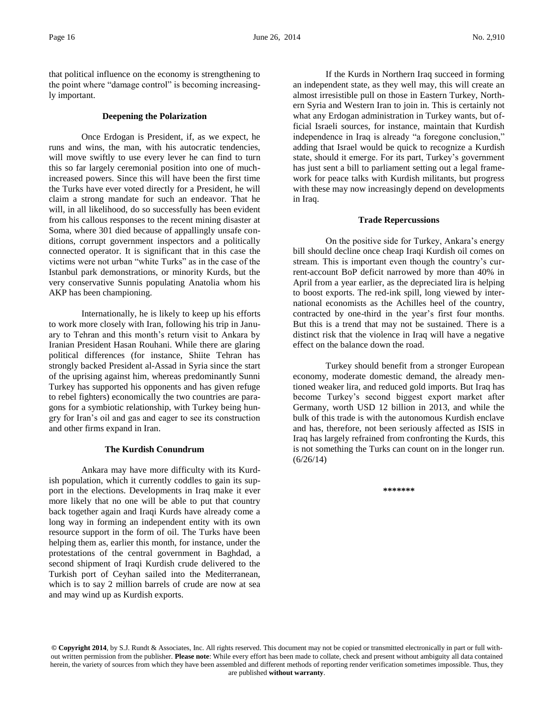that political influence on the economy is strengthening to the point where "damage control" is becoming increasingly important.

### **Deepening the Polarization**

Once Erdogan is President, if, as we expect, he runs and wins, the man, with his autocratic tendencies, will move swiftly to use every lever he can find to turn this so far largely ceremonial position into one of muchincreased powers. Since this will have been the first time the Turks have ever voted directly for a President, he will claim a strong mandate for such an endeavor. That he will, in all likelihood, do so successfully has been evident from his callous responses to the recent mining disaster at Soma, where 301 died because of appallingly unsafe conditions, corrupt government inspectors and a politically connected operator. It is significant that in this case the victims were not urban "white Turks" as in the case of the Istanbul park demonstrations, or minority Kurds, but the very conservative Sunnis populating Anatolia whom his AKP has been championing.

Internationally, he is likely to keep up his efforts to work more closely with Iran, following his trip in January to Tehran and this month's return visit to Ankara by Iranian President Hasan Rouhani. While there are glaring political differences (for instance, Shiite Tehran has strongly backed President al-Assad in Syria since the start of the uprising against him, whereas predominantly Sunni Turkey has supported his opponents and has given refuge to rebel fighters) economically the two countries are paragons for a symbiotic relationship, with Turkey being hungry for Iran's oil and gas and eager to see its construction and other firms expand in Iran.

### **The Kurdish Conundrum**

Ankara may have more difficulty with its Kurdish population, which it currently coddles to gain its support in the elections. Developments in Iraq make it ever more likely that no one will be able to put that country back together again and Iraqi Kurds have already come a long way in forming an independent entity with its own resource support in the form of oil. The Turks have been helping them as, earlier this month, for instance, under the protestations of the central government in Baghdad, a second shipment of Iraqi Kurdish crude delivered to the Turkish port of Ceyhan sailed into the Mediterranean, which is to say 2 million barrels of crude are now at sea and may wind up as Kurdish exports.

If the Kurds in Northern Iraq succeed in forming an independent state, as they well may, this will create an almost irresistible pull on those in Eastern Turkey, Northern Syria and Western Iran to join in. This is certainly not what any Erdogan administration in Turkey wants, but official Israeli sources, for instance, maintain that Kurdish independence in Iraq is already "a foregone conclusion," adding that Israel would be quick to recognize a Kurdish state, should it emerge. For its part, Turkey's government has just sent a bill to parliament setting out a legal framework for peace talks with Kurdish militants, but progress with these may now increasingly depend on developments in Iraq.

### **Trade Repercussions**

On the positive side for Turkey, Ankara's energy bill should decline once cheap Iraqi Kurdish oil comes on stream. This is important even though the country's current-account BoP deficit narrowed by more than 40% in April from a year earlier, as the depreciated lira is helping to boost exports. The red-ink spill, long viewed by international economists as the Achilles heel of the country, contracted by one-third in the year's first four months. But this is a trend that may not be sustained. There is a distinct risk that the violence in Iraq will have a negative effect on the balance down the road.

Turkey should benefit from a stronger European economy, moderate domestic demand, the already mentioned weaker lira, and reduced gold imports. But Iraq has become Turkey's second biggest export market after Germany, worth USD 12 billion in 2013, and while the bulk of this trade is with the autonomous Kurdish enclave and has, therefore, not been seriously affected as ISIS in Iraq has largely refrained from confronting the Kurds, this is not something the Turks can count on in the longer run. (6/26/14)

**\*\*\*\*\*\*\***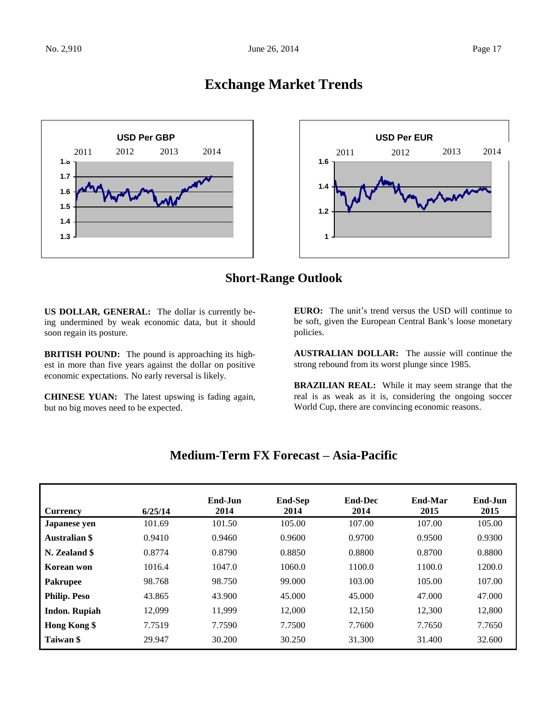### **Exchange Market Trends**





### **Short-Range Outlook**

**US DOLLAR, GENERAL:** The dollar is currently being undermined by weak economic data, but it should soon regain its posture.

**BRITISH POUND:** The pound is approaching its highest in more than five years against the dollar on positive economic expectations. No early reversal is likely.

**CHINESE YUAN:** The latest upswing is fading again, but no big moves need to be expected.

**EURO:** The unit's trend versus the USD will continue to be soft, given the European Central Bank's loose monetary policies.

**AUSTRALIAN DOLLAR:** The aussie will continue the strong rebound from its worst plunge since 1985.

**BRAZILIAN REAL:** While it may seem strange that the real is as weak as it is, considering the ongoing soccer World Cup, there are convincing economic reasons.

| <b>Currency</b>      | 6/25/14 | End-Jun<br>2014 | <b>End-Sep</b><br>2014 | <b>End-Dec</b><br>2014 | End-Mar<br>2015 | End-Jun<br>2015 |
|----------------------|---------|-----------------|------------------------|------------------------|-----------------|-----------------|
| <b>Japanese</b> yen  | 101.69  | 101.50          | 105.00                 | 107.00                 | 107.00          | 105.00          |
| <b>Australian \$</b> | 0.9410  | 0.9460          | 0.9600                 | 0.9700                 | 0.9500          | 0.9300          |
| N. Zealand \$        | 0.8774  | 0.8790          | 0.8850                 | 0.8800                 | 0.8700          | 0.8800          |
| Korean won           | 1016.4  | 1047.0          | 1060.0                 | 1100.0                 | 1100.0          | 1200.0          |
| <b>Pakrupee</b>      | 98.768  | 98.750          | 99.000                 | 103.00                 | 105.00          | 107.00          |
| <b>Philip. Peso</b>  | 43.865  | 43.900          | 45.000                 | 45,000                 | 47.000          | 47.000          |
| <b>Indon. Rupiah</b> | 12.099  | 11.999          | 12,000                 | 12,150                 | 12,300          | 12,800          |
| Hong Kong \$         | 7.7519  | 7.7590          | 7.7500                 | 7.7600                 | 7.7650          | 7.7650          |
| Taiwan \$            | 29.947  | 30.200          | 30.250                 | 31.300                 | 31.400          | 32.600          |

### **Medium-Term FX Forecast – Asia-Pacific**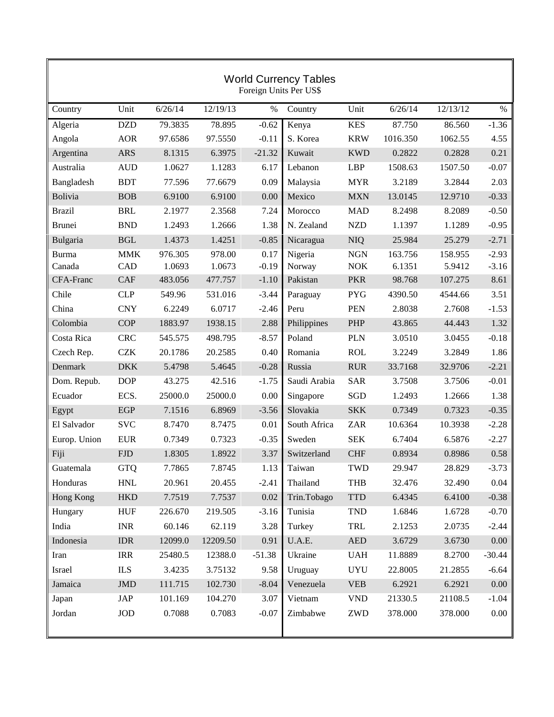| <b>World Currency Tables</b><br>Foreign Units Per US\$ |                      |         |          |          |              |                                  |          |          |          |
|--------------------------------------------------------|----------------------|---------|----------|----------|--------------|----------------------------------|----------|----------|----------|
| Country                                                | Unit                 | 6/26/14 | 12/19/13 | $\%$     | Country      | Unit                             | 6/26/14  | 12/13/12 | $\%$     |
| Algeria                                                | <b>DZD</b>           | 79.3835 | 78.895   | $-0.62$  | Kenya        | <b>KES</b>                       | 87.750   | 86.560   | $-1.36$  |
| Angola                                                 | <b>AOR</b>           | 97.6586 | 97.5550  | $-0.11$  | S. Korea     | <b>KRW</b>                       | 1016.350 | 1062.55  | 4.55     |
| Argentina                                              | <b>ARS</b>           | 8.1315  | 6.3975   | $-21.32$ | Kuwait       | <b>KWD</b>                       | 0.2822   | 0.2828   | 0.21     |
| Australia                                              | <b>AUD</b>           | 1.0627  | 1.1283   | 6.17     | Lebanon      | <b>LBP</b>                       | 1508.63  | 1507.50  | $-0.07$  |
| Bangladesh                                             | <b>BDT</b>           | 77.596  | 77.6679  | 0.09     | Malaysia     | <b>MYR</b>                       | 3.2189   | 3.2844   | 2.03     |
| Bolivia                                                | <b>BOB</b>           | 6.9100  | 6.9100   | 0.00     | Mexico       | <b>MXN</b>                       | 13.0145  | 12.9710  | $-0.33$  |
| <b>Brazil</b>                                          | <b>BRL</b>           | 2.1977  | 2.3568   | 7.24     | Morocco      | <b>MAD</b>                       | 8.2498   | 8.2089   | $-0.50$  |
| <b>Brunei</b>                                          | <b>BND</b>           | 1.2493  | 1.2666   | 1.38     | N. Zealand   | <b>NZD</b>                       | 1.1397   | 1.1289   | $-0.95$  |
| Bulgaria                                               | $\operatorname{BGL}$ | 1.4373  | 1.4251   | $-0.85$  | Nicaragua    | <b>NIQ</b>                       | 25.984   | 25.279   | $-2.71$  |
| <b>Burma</b>                                           | <b>MMK</b>           | 976.305 | 978.00   | 0.17     | Nigeria      | <b>NGN</b>                       | 163.756  | 158.955  | $-2.93$  |
| Canada                                                 | CAD                  | 1.0693  | 1.0673   | $-0.19$  | Norway       | <b>NOK</b>                       | 6.1351   | 5.9412   | $-3.16$  |
| CFA-Franc                                              | <b>CAF</b>           | 483.056 | 477.757  | $-1.10$  | Pakistan     | <b>PKR</b>                       | 98.768   | 107.275  | 8.61     |
| Chile                                                  | <b>CLP</b>           | 549.96  | 531.016  | $-3.44$  | Paraguay     | <b>PYG</b>                       | 4390.50  | 4544.66  | 3.51     |
| China                                                  | <b>CNY</b>           | 6.2249  | 6.0717   | $-2.46$  | Peru         | <b>PEN</b>                       | 2.8038   | 2.7608   | $-1.53$  |
| Colombia                                               | <b>COP</b>           | 1883.97 | 1938.15  | 2.88     | Philippines  | PHP                              | 43.865   | 44.443   | 1.32     |
| Costa Rica                                             | <b>CRC</b>           | 545.575 | 498.795  | $-8.57$  | Poland       | <b>PLN</b>                       | 3.0510   | 3.0455   | $-0.18$  |
| Czech Rep.                                             | <b>CZK</b>           | 20.1786 | 20.2585  | 0.40     | Romania      | <b>ROL</b>                       | 3.2249   | 3.2849   | 1.86     |
| Denmark                                                | <b>DKK</b>           | 5.4798  | 5.4645   | $-0.28$  | Russia       | <b>RUR</b>                       | 33.7168  | 32.9706  | $-2.21$  |
| Dom. Repub.                                            | <b>DOP</b>           | 43.275  | 42.516   | $-1.75$  | Saudi Arabia | <b>SAR</b>                       | 3.7508   | 3.7506   | $-0.01$  |
| Ecuador                                                | ECS.                 | 25000.0 | 25000.0  | 0.00     | Singapore    | SGD                              | 1.2493   | 1.2666   | 1.38     |
| Egypt                                                  | <b>EGP</b>           | 7.1516  | 6.8969   | $-3.56$  | Slovakia     | <b>SKK</b>                       | 0.7349   | 0.7323   | $-0.35$  |
| El Salvador                                            | <b>SVC</b>           | 8.7470  | 8.7475   | 0.01     | South Africa | <b>ZAR</b>                       | 10.6364  | 10.3938  | $-2.28$  |
| Europ. Union                                           | <b>EUR</b>           | 0.7349  | 0.7323   | $-0.35$  | Sweden       | <b>SEK</b>                       | 6.7404   | 6.5876   | $-2.27$  |
| Fiji                                                   | <b>FJD</b>           | 1.8305  | 1.8922   | 3.37     | Switzerland  | <b>CHF</b>                       | 0.8934   | 0.8986   | 0.58     |
| Guatemala                                              | <b>GTQ</b>           | 7.7865  | 7.8745   | 1.13     | Taiwan       | <b>TWD</b>                       | 29.947   | 28.829   | $-3.73$  |
| Honduras                                               | $\operatorname{HNL}$ | 20.961  | 20.455   | $-2.41$  | Thailand     | <b>THB</b>                       | 32.476   | 32.490   | 0.04     |
| Hong Kong                                              | <b>HKD</b>           | 7.7519  | 7.7537   | 0.02     | Trin.Tobago  | $\mbox{TTD}$                     | 6.4345   | 6.4100   | $-0.38$  |
| Hungary                                                | <b>HUF</b>           | 226.670 | 219.505  | $-3.16$  | Tunisia      | <b>TND</b>                       | 1.6846   | 1.6728   | $-0.70$  |
| India                                                  | <b>INR</b>           | 60.146  | 62.119   | 3.28     | Turkey       | TRL                              | 2.1253   | 2.0735   | $-2.44$  |
| Indonesia                                              | <b>IDR</b>           | 12099.0 | 12209.50 | 0.91     | U.A.E.       | $\mathbf{A}\mathbf{E}\mathbf{D}$ | 3.6729   | 3.6730   | $0.00\,$ |
| Iran                                                   | <b>IRR</b>           | 25480.5 | 12388.0  | $-51.38$ | Ukraine      | <b>UAH</b>                       | 11.8889  | 8.2700   | $-30.44$ |
| Israel                                                 | <b>ILS</b>           | 3.4235  | 3.75132  | 9.58     | Uruguay      | <b>UYU</b>                       | 22.8005  | 21.2855  | $-6.64$  |
| Jamaica                                                | $\mbox{JMD}$         | 111.715 | 102.730  | $-8.04$  | Venezuela    | <b>VEB</b>                       | 6.2921   | 6.2921   | $0.00\,$ |
| Japan                                                  | JAP                  | 101.169 | 104.270  | 3.07     | Vietnam      | <b>VND</b>                       | 21330.5  | 21108.5  | $-1.04$  |
| Jordan                                                 | <b>JOD</b>           | 0.7088  | 0.7083   | $-0.07$  | Zimbabwe     | ZWD                              | 378.000  | 378.000  | 0.00     |
|                                                        |                      |         |          |          |              |                                  |          |          |          |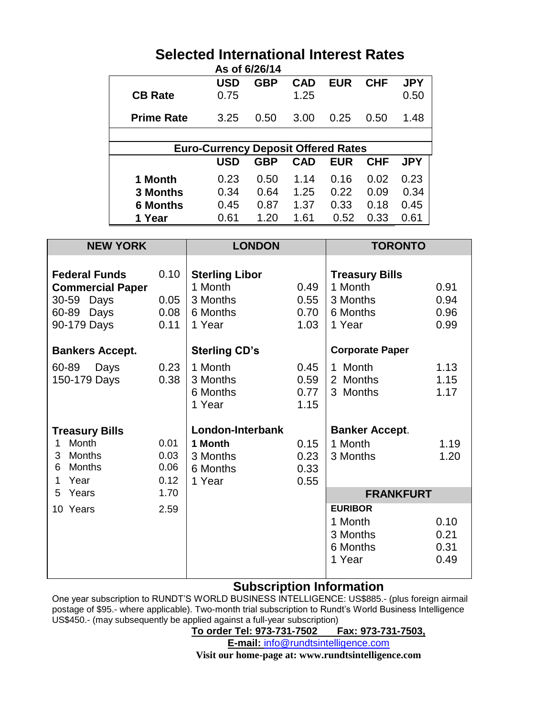### **Selected International Interest Rates**

| As of 6/26/14     |                                            |            |            |            |            |            |  |  |
|-------------------|--------------------------------------------|------------|------------|------------|------------|------------|--|--|
|                   | <b>USD</b>                                 | <b>GBP</b> | <b>CAD</b> | <b>EUR</b> | <b>CHF</b> | <b>JPY</b> |  |  |
| <b>CB Rate</b>    | 0.75                                       |            | 1.25       |            |            | 0.50       |  |  |
| <b>Prime Rate</b> | 3.25                                       | 0.50       | 3.00       | 0.25       | 0.50       | 1.48       |  |  |
|                   |                                            |            |            |            |            |            |  |  |
|                   | <b>Euro-Currency Deposit Offered Rates</b> |            |            |            |            |            |  |  |
|                   | <b>USD</b>                                 | <b>GBP</b> | <b>CAD</b> | <b>EUR</b> | <b>CHF</b> | <b>JPY</b> |  |  |
| 1 Month           | 0.23                                       | 0.50       | 1.14       | 0.16       | 0.02       | 0.23       |  |  |
| <b>3 Months</b>   | 0.34                                       | 0.64       | 1.25       | 0.22       | 0.09       | 0.34       |  |  |
| 6 Months          | 0.45                                       | 0.87       | 1.37       | 0.33       | 0.18       | 0.45       |  |  |
| 1 Year            | 0.61                                       | 1.20       | 1.61       | 0.52       | 0.33       | 0.61       |  |  |

| <b>NEW YORK</b>                                                                            |                              | <b>LONDON</b>                                                      |                              | <b>TORONTO</b>                                                     |                              |  |
|--------------------------------------------------------------------------------------------|------------------------------|--------------------------------------------------------------------|------------------------------|--------------------------------------------------------------------|------------------------------|--|
| <b>Federal Funds</b><br><b>Commercial Paper</b><br>30-59 Days<br>60-89 Days<br>90-179 Days | 0.10<br>0.05<br>0.08<br>0.11 | <b>Sterling Libor</b><br>1 Month<br>3 Months<br>6 Months<br>1 Year | 0.49<br>0.55<br>0.70<br>1.03 | <b>Treasury Bills</b><br>1 Month<br>3 Months<br>6 Months<br>1 Year | 0.91<br>0.94<br>0.96<br>0.99 |  |
| <b>Bankers Accept.</b>                                                                     |                              | <b>Sterling CD's</b>                                               |                              | <b>Corporate Paper</b>                                             |                              |  |
| 60-89<br>Days<br>150-179 Days                                                              | 0.23<br>0.38                 | 1 Month<br>3 Months<br>6 Months<br>1 Year                          | 0.45<br>0.59<br>0.77<br>1.15 | 1 Month<br>2 Months<br>3 Months                                    | 1.13<br>1.15<br>1.17         |  |
| <b>Treasury Bills</b>                                                                      |                              | London-Interbank                                                   |                              | <b>Banker Accept.</b>                                              |                              |  |
| Month<br>1<br><b>Months</b><br>3<br><b>Months</b><br>6<br>Year<br>1                        | 0.01<br>0.03<br>0.06<br>0.12 | 1 Month<br>3 Months<br>6 Months<br>1 Year                          | 0.15<br>0.23<br>0.33<br>0.55 | 1 Month<br>3 Months                                                | 1.19<br>1.20                 |  |
| 5<br>Years                                                                                 | 1.70                         |                                                                    |                              | <b>FRANKFURT</b>                                                   |                              |  |
| 10 Years                                                                                   | 2.59                         |                                                                    |                              | <b>EURIBOR</b><br>1 Month<br>3 Months<br>6 Months<br>1 Year        | 0.10<br>0.21<br>0.31<br>0.49 |  |

### **Subscription Information**

One year subscription to RUNDT'S WORLD BUSINESS INTELLIGENCE: US\$885.- (plus foreign airmail postage of \$95.- where applicable). Two-month trial subscription to Rundt's World Business Intelligence US\$450.- (may subsequently be applied against a full-year subscription)

**To order Tel: 973-731-7502 Fax: 973-731-7503,**

**E-mail:** [info@rundtsintelligence.com](mailto:info@rundtsintelligence.com)

**Visit our home-page at: www.rundtsintelligence.com**